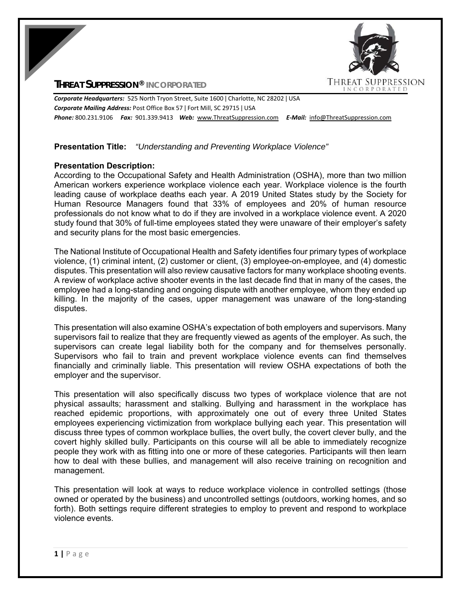# **THREAT SUPPRESSION® INCORPORATED**



*Corporate Headquarters:* 525 North Tryon Street, Suite 1600 ǀ Charlotte, NC 28202 ǀ USA *Corporate Mailing Address:* Post Office Box 57 ǀ Fort Mill, SC 29715 ǀ USA *Phone:* 800.231.9106  *Fax:* 901.339.9413 *Web:* www.ThreatSuppression.com *E‐Mail:*  info@ThreatSuppression.com

## **Presentation Title:** *"Understanding and Preventing Workplace Violence"*

## **Presentation Description:**

According to the Occupational Safety and Health Administration (OSHA), more than two million American workers experience workplace violence each year. Workplace violence is the fourth leading cause of workplace deaths each year. A 2019 United States study by the Society for Human Resource Managers found that 33% of employees and 20% of human resource professionals do not know what to do if they are involved in a workplace violence event. A 2020 study found that 30% of full-time employees stated they were unaware of their employer's safety and security plans for the most basic emergencies.

The National Institute of Occupational Health and Safety identifies four primary types of workplace violence, (1) criminal intent, (2) customer or client, (3) employee-on-employee, and (4) domestic disputes. This presentation will also review causative factors for many workplace shooting events. A review of workplace active shooter events in the last decade find that in many of the cases, the employee had a long-standing and ongoing dispute with another employee, whom they ended up killing. In the majority of the cases, upper management was unaware of the long-standing disputes.

This presentation will also examine OSHA's expectation of both employers and supervisors. Many supervisors fail to realize that they are frequently viewed as agents of the employer. As such, the supervisors can create legal liability both for the company and for themselves personally. Supervisors who fail to train and prevent workplace violence events can find themselves financially and criminally liable. This presentation will review OSHA expectations of both the employer and the supervisor.

This presentation will also specifically discuss two types of workplace violence that are not physical assaults; harassment and stalking. Bullying and harassment in the workplace has reached epidemic proportions, with approximately one out of every three United States employees experiencing victimization from workplace bullying each year. This presentation will discuss three types of common workplace bullies, the overt bully, the covert clever bully, and the covert highly skilled bully. Participants on this course will all be able to immediately recognize people they work with as fitting into one or more of these categories. Participants will then learn how to deal with these bullies, and management will also receive training on recognition and management.

This presentation will look at ways to reduce workplace violence in controlled settings (those owned or operated by the business) and uncontrolled settings (outdoors, working homes, and so forth). Both settings require different strategies to employ to prevent and respond to workplace violence events.